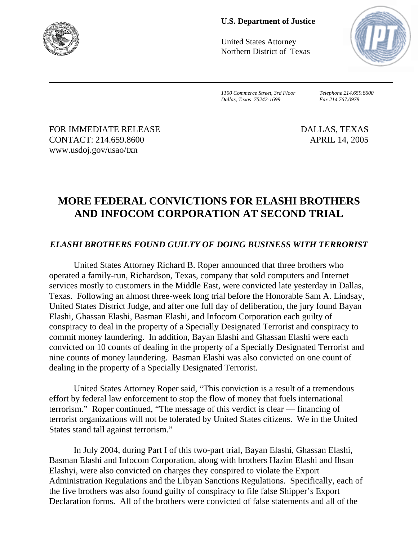

## **U.S. Department of Justice**

United States Attorney Northern District of Texas



*1100 Commerce Street, 3rd Floor Telephone 214.659.8600 Dallas, Texas 75242-1699 Fax 214.767.0978*

FOR IMMEDIATE RELEASE DALLAS, TEXAS CONTACT: 214.659.8600 APRIL 14, 2005 www.usdoj.gov/usao/txn

## **MORE FEDERAL CONVICTIONS FOR ELASHI BROTHERS AND INFOCOM CORPORATION AT SECOND TRIAL**

## *ELASHI BROTHERS FOUND GUILTY OF DOING BUSINESS WITH TERRORIST*

United States Attorney Richard B. Roper announced that three brothers who operated a family-run, Richardson, Texas, company that sold computers and Internet services mostly to customers in the Middle East, were convicted late yesterday in Dallas, Texas. Following an almost three-week long trial before the Honorable Sam A. Lindsay, United States District Judge, and after one full day of deliberation, the jury found Bayan Elashi, Ghassan Elashi, Basman Elashi, and Infocom Corporation each guilty of conspiracy to deal in the property of a Specially Designated Terrorist and conspiracy to commit money laundering. In addition, Bayan Elashi and Ghassan Elashi were each convicted on 10 counts of dealing in the property of a Specially Designated Terrorist and nine counts of money laundering. Basman Elashi was also convicted on one count of dealing in the property of a Specially Designated Terrorist.

United States Attorney Roper said, "This conviction is a result of a tremendous effort by federal law enforcement to stop the flow of money that fuels international terrorism." Roper continued, "The message of this verdict is clear — financing of terrorist organizations will not be tolerated by United States citizens. We in the United States stand tall against terrorism."

In July 2004, during Part I of this two-part trial, Bayan Elashi, Ghassan Elashi, Basman Elashi and Infocom Corporation, along with brothers Hazim Elashi and Ihsan Elashyi, were also convicted on charges they conspired to violate the Export Administration Regulations and the Libyan Sanctions Regulations. Specifically, each of the five brothers was also found guilty of conspiracy to file false Shipper's Export Declaration forms. All of the brothers were convicted of false statements and all of the